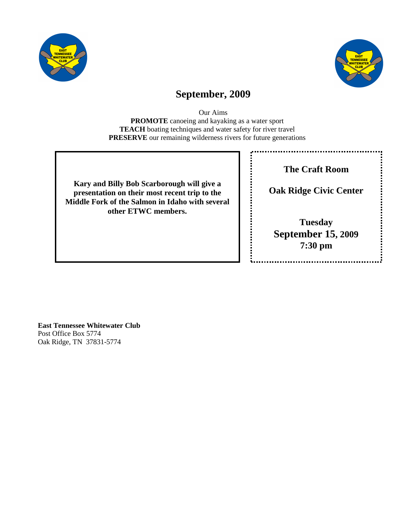



# **September, 2009**

Our Aims **PROMOTE** canoeing and kayaking as a water sport **TEACH** boating techniques and water safety for river travel **PRESERVE** our remaining wilderness rivers for future generations

**Kary and Billy Bob Scarborough will give a presentation on their most recent trip to the Middle Fork of the Salmon in Idaho with several other ETWC members.** 

**The Craft Room** 

**Oak Ridge Civic Center** 

**Tuesday September 15, 2009 7:30 pm** 

**East Tennessee Whitewater Club**  Post Office Box 5774 Oak Ridge, TN 37831-5774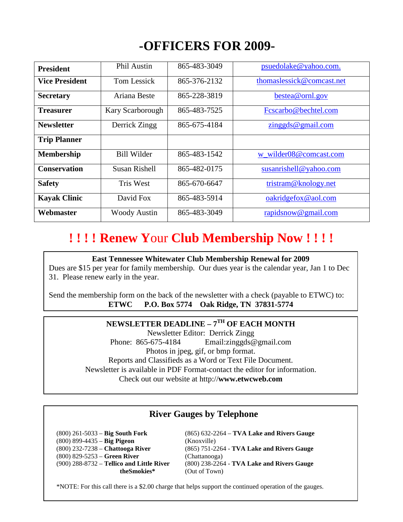# **-OFFICERS FOR 2009-**

| <b>President</b>      | <b>Phil Austin</b>   | 865-483-3049 | psuedolake@yahoo.com.     |
|-----------------------|----------------------|--------------|---------------------------|
| <b>Vice President</b> | <b>Tom Lessick</b>   | 865-376-2132 | thomaslessick@comcast.net |
| <b>Secretary</b>      | Ariana Beste         | 865-228-3819 | bestea@ornl.gov           |
| <b>Treasurer</b>      | Kary Scarborough     | 865-483-7525 | Fcscarbo@bechtel.com      |
| <b>Newsletter</b>     | Derrick Zingg        | 865-675-4184 | zinggds@gmail.com         |
| <b>Trip Planner</b>   |                      |              |                           |
| Membership            | <b>Bill Wilder</b>   | 865-483-1542 | w wilder08@comcast.com    |
| <b>Conservation</b>   | <b>Susan Rishell</b> | 865-482-0175 | susanrishell@yahoo.com    |
| <b>Safety</b>         | <b>Tris West</b>     | 865-670-6647 | tristram@knology.net      |
| <b>Kayak Clinic</b>   | David Fox            | 865-483-5914 | oakridgefox@aol.com       |
| Webmaster             | <b>Woody Austin</b>  | 865-483-3049 | rapidsnow@gmail.com       |

# **! ! ! ! Renew Y**our **Club Membership Now ! ! ! !**

#### **East Tennessee Whitewater Club Membership Renewal for 2009**

Dues are \$15 per year for family membership. Our dues year is the calendar year, Jan 1 to Dec 31. Please renew early in the year.

Send the membership form on the back of the newsletter with a check (payable to ETWC) to: **ETWC P.O. Box 5774 Oak Ridge, TN 37831-5774**

# **NEWSLETTER DEADLINE – 7TH OF EACH MONTH**

Newsletter Editor: Derrick Zingg Phone: 865-675-4184 Email: zinggds@gmail.com Photos in jpeg, gif, or bmp format. Reports and Classifieds as a Word or Text File Document. Newsletter is available in PDF Format-contact the editor for information. Check out our website at http://**www.etwcweb.com**

# **River Gauges by Telephone**

 (800) 899-4435 – **Big Pigeon** (Knoxville) (800) 829-5253 – **Green River** (Chattanooga) **theSmokies\*** (Out of Town)

 (800) 261-5033 – **Big South Fork** (865) 632-2264 – **TVA Lake and Rivers Gauge** (800) 232-7238 – **Chattooga River** (865) 751-2264 - **TVA Lake and Rivers Gauge** (900) 288-8732 – **Tellico and Little River** (800) 238-2264 - **TVA Lake and Rivers Gauge** 

\*NOTE: For this call there is a \$2.00 charge that helps support the continued operation of the gauges.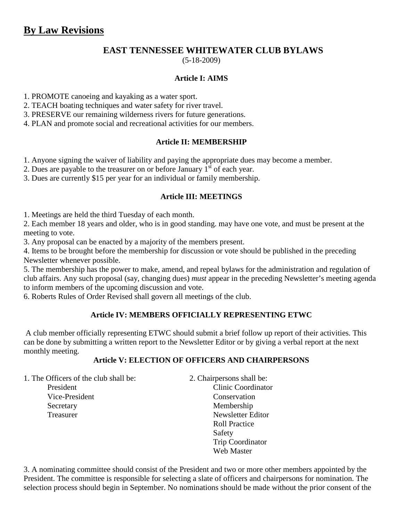# **EAST TENNESSEE WHITEWATER CLUB BYLAWS**

(5-18-2009)

# **Article I: AIMS**

1. PROMOTE canoeing and kayaking as a water sport.

2. TEACH boating techniques and water safety for river travel.

3. PRESERVE our remaining wilderness rivers for future generations.

4. PLAN and promote social and recreational activities for our members.

## **Article II: MEMBERSHIP**

1. Anyone signing the waiver of liability and paying the appropriate dues may become a member.

2. Dues are payable to the treasurer on or before January  $1<sup>st</sup>$  of each year.

3. Dues are currently \$15 per year for an individual or family membership.

## **Article III: MEETINGS**

1. Meetings are held the third Tuesday of each month.

2. Each member 18 years and older, who is in good standing. may have one vote, and must be present at the meeting to vote.

3. Any proposal can be enacted by a majority of the members present.

4. Items to be brought before the membership for discussion or vote should be published in the preceding Newsletter whenever possible.

5. The membership has the power to make, amend, and repeal bylaws for the administration and regulation of club affairs. Any such proposal (say, changing dues) *must* appear in the preceding Newsletter's meeting agenda to inform members of the upcoming discussion and vote.

6. Roberts Rules of Order Revised shall govern all meetings of the club.

## **Article IV: MEMBERS OFFICIALLY REPRESENTING ETWC**

 A club member officially representing ETWC should submit a brief follow up report of their activities. This can be done by submitting a written report to the Newsletter Editor or by giving a verbal report at the next monthly meeting.

## **Article V: ELECTION OF OFFICERS AND CHAIRPERSONS**

1. The Officers of the club shall be: 2. Chairpersons shall be:

- 
- President Clinic Coordinator Vice-President Conservation Secretary Membership Treasurer Newsletter Editor Roll Practice **Safety**  Trip Coordinator Web Master

3. A nominating committee should consist of the President and two or more other members appointed by the President. The committee is responsible for selecting a slate of officers and chairpersons for nomination. The selection process should begin in September. No nominations should be made without the prior consent of the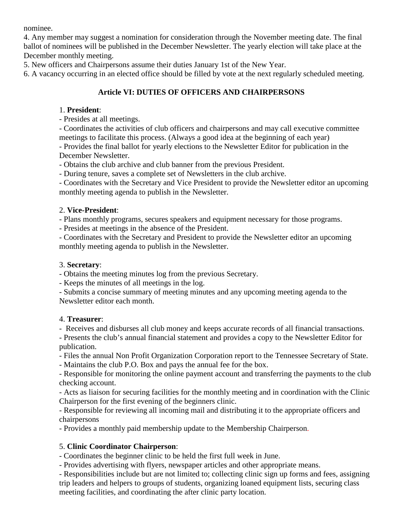nominee.

4. Any member may suggest a nomination for consideration through the November meeting date. The final ballot of nominees will be published in the December Newsletter. The yearly election will take place at the December monthly meeting.

5. New officers and Chairpersons assume their duties January 1st of the New Year.

6. A vacancy occurring in an elected office should be filled by vote at the next regularly scheduled meeting.

# **Article VI: DUTIES OF OFFICERS AND CHAIRPERSONS**

# 1. **President**:

- Presides at all meetings.

- Coordinates the activities of club officers and chairpersons and may call executive committee meetings to facilitate this process. (Always a good idea at the beginning of each year)

- Provides the final ballot for yearly elections to the Newsletter Editor for publication in the December Newsletter.

- Obtains the club archive and club banner from the previous President.

- During tenure, saves a complete set of Newsletters in the club archive.

- Coordinates with the Secretary and Vice President to provide the Newsletter editor an upcoming monthly meeting agenda to publish in the Newsletter.

# 2. **Vice-President**:

- Plans monthly programs, secures speakers and equipment necessary for those programs.

- Presides at meetings in the absence of the President.

- Coordinates with the Secretary and President to provide the Newsletter editor an upcoming monthly meeting agenda to publish in the Newsletter.

# 3. **Secretary**:

- Obtains the meeting minutes log from the previous Secretary.

- Keeps the minutes of all meetings in the log.

- Submits a concise summary of meeting minutes and any upcoming meeting agenda to the Newsletter editor each month.

## 4. **Treasurer**:

- Receives and disburses all club money and keeps accurate records of all financial transactions.

- Presents the club's annual financial statement and provides a copy to the Newsletter Editor for publication.

- Files the annual Non Profit Organization Corporation report to the Tennessee Secretary of State.

- Maintains the club P.O. Box and pays the annual fee for the box.

- Responsible for monitoring the online payment account and transferring the payments to the club checking account.

- Acts as liaison for securing facilities for the monthly meeting and in coordination with the Clinic Chairperson for the first evening of the beginners clinic.

- Responsible for reviewing all incoming mail and distributing it to the appropriate officers and chairpersons

- Provides a monthly paid membership update to the Membership Chairperson.

# 5. **Clinic Coordinator Chairperson**:

- Coordinates the beginner clinic to be held the first full week in June.

- Provides advertising with flyers, newspaper articles and other appropriate means.

- Responsibilities include but are not limited to; collecting clinic sign up forms and fees, assigning trip leaders and helpers to groups of students, organizing loaned equipment lists, securing class meeting facilities, and coordinating the after clinic party location.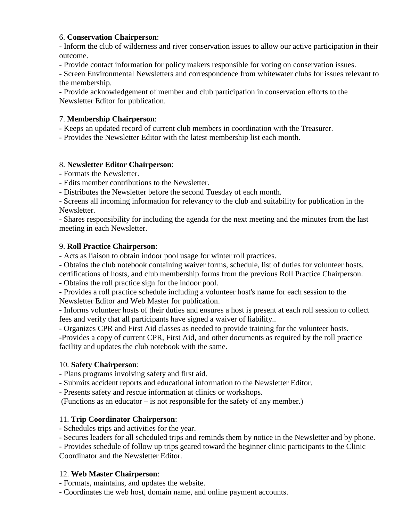## 6. **Conservation Chairperson**:

- Inform the club of wilderness and river conservation issues to allow our active participation in their outcome.

- Provide contact information for policy makers responsible for voting on conservation issues.

- Screen Environmental Newsletters and correspondence from whitewater clubs for issues relevant to the membership.

- Provide acknowledgement of member and club participation in conservation efforts to the Newsletter Editor for publication.

## 7. **Membership Chairperson**:

- Keeps an updated record of current club members in coordination with the Treasurer.

- Provides the Newsletter Editor with the latest membership list each month.

## 8. **Newsletter Editor Chairperson**:

- Formats the Newsletter.

- Edits member contributions to the Newsletter.

- Distributes the Newsletter before the second Tuesday of each month.

- Screens all incoming information for relevancy to the club and suitability for publication in the Newsletter.

- Shares responsibility for including the agenda for the next meeting and the minutes from the last meeting in each Newsletter.

# 9. **Roll Practice Chairperson**:

- Acts as liaison to obtain indoor pool usage for winter roll practices.

- Obtains the club notebook containing waiver forms, schedule, list of duties for volunteer hosts, certifications of hosts, and club membership forms from the previous Roll Practice Chairperson.

- Obtains the roll practice sign for the indoor pool.

- Provides a roll practice schedule including a volunteer host's name for each session to the Newsletter Editor and Web Master for publication.

- Informs volunteer hosts of their duties and ensures a host is present at each roll session to collect fees and verify that all participants have signed a waiver of liability..

- Organizes CPR and First Aid classes as needed to provide training for the volunteer hosts.

-Provides a copy of current CPR, First Aid, and other documents as required by the roll practice facility and updates the club notebook with the same.

## 10. **Safety Chairperson**:

- Plans programs involving safety and first aid.

- Submits accident reports and educational information to the Newsletter Editor.

- Presents safety and rescue information at clinics or workshops.

(Functions as an educator – is not responsible for the safety of any member.)

# 11. **Trip Coordinator Chairperson**:

- Schedules trips and activities for the year.

- Secures leaders for all scheduled trips and reminds them by notice in the Newsletter and by phone.

- Provides schedule of follow up trips geared toward the beginner clinic participants to the Clinic Coordinator and the Newsletter Editor.

# 12. **Web Master Chairperson**:

- Formats, maintains, and updates the website.

- Coordinates the web host, domain name, and online payment accounts.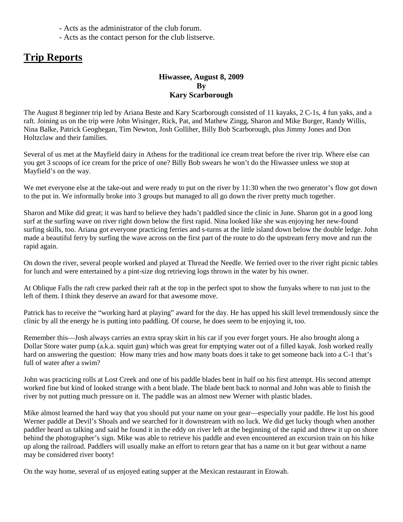- Acts as the administrator of the club forum.
- Acts as the contact person for the club listserve.

# **Trip Reports**

# **Hiwassee, August 8, 2009 By Kary Scarborough**

The August 8 beginner trip led by Ariana Beste and Kary Scarborough consisted of 11 kayaks, 2 C-1s, 4 fun yaks, and a raft. Joining us on the trip were John Wisinger, Rick, Pat, and Mathew Zingg, Sharon and Mike Burger, Randy Willis, Nina Balke, Patrick Geoghegan, Tim Newton, Josh Golliher, Billy Bob Scarborough, plus Jimmy Jones and Don Holtzclaw and their families.

Several of us met at the Mayfield dairy in Athens for the traditional ice cream treat before the river trip. Where else can you get 3 scoops of ice cream for the price of one? Billy Bob swears he won't do the Hiwassee unless we stop at Mayfield's on the way.

We met everyone else at the take-out and were ready to put on the river by 11:30 when the two generator's flow got down to the put in. We informally broke into 3 groups but managed to all go down the river pretty much together.

Sharon and Mike did great; it was hard to believe they hadn't paddled since the clinic in June. Sharon got in a good long surf at the surfing wave on river right down below the first rapid. Nina looked like she was enjoying her new-found surfing skills, too. Ariana got everyone practicing ferries and s-turns at the little island down below the double ledge. John made a beautiful ferry by surfing the wave across on the first part of the route to do the upstream ferry move and run the rapid again.

On down the river, several people worked and played at Thread the Needle. We ferried over to the river right picnic tables for lunch and were entertained by a pint-size dog retrieving logs thrown in the water by his owner.

At Oblique Falls the raft crew parked their raft at the top in the perfect spot to show the funyaks where to run just to the left of them. I think they deserve an award for that awesome move.

Patrick has to receive the "working hard at playing" award for the day. He has upped his skill level tremendously since the clinic by all the energy he is putting into paddling. Of course, he does seem to be enjoying it, too.

Remember this—Josh always carries an extra spray skirt in his car if you ever forget yours. He also brought along a Dollar Store water pump (a.k.a. squirt gun) which was great for emptying water out of a filled kayak. Josh worked really hard on answering the question: How many tries and how many boats does it take to get someone back into a C-1 that's full of water after a swim?

John was practicing rolls at Lost Creek and one of his paddle blades bent in half on his first attempt. His second attempt worked fine but kind of looked strange with a bent blade. The blade bent back to normal and John was able to finish the river by not putting much pressure on it. The paddle was an almost new Werner with plastic blades.

Mike almost learned the hard way that you should put your name on your gear—especially your paddle. He lost his good Werner paddle at Devil's Shoals and we searched for it downstream with no luck. We did get lucky though when another paddler heard us talking and said he found it in the eddy on river left at the beginning of the rapid and threw it up on shore behind the photographer's sign. Mike was able to retrieve his paddle and even encountered an excursion train on his hike up along the railroad. Paddlers will usually make an effort to return gear that has a name on it but gear without a name may be considered river booty!

On the way home, several of us enjoyed eating supper at the Mexican restaurant in Etowah.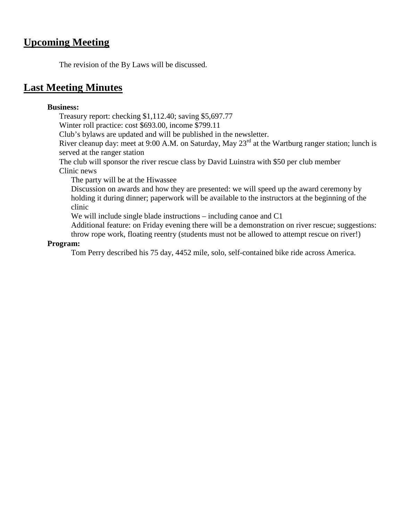# **Upcoming Meeting**

The revision of the By Laws will be discussed.

# **Last Meeting Minutes**

# **Business:**

Treasury report: checking \$1,112.40; saving \$5,697.77

Winter roll practice: cost \$693.00, income \$799.11

Club's bylaws are updated and will be published in the newsletter.

River cleanup day: meet at 9:00 A.M. on Saturday, May  $23<sup>rd</sup>$  at the Wartburg ranger station; lunch is served at the ranger station

The club will sponsor the river rescue class by David Luinstra with \$50 per club member Clinic news

The party will be at the Hiwassee

Discussion on awards and how they are presented: we will speed up the award ceremony by holding it during dinner; paperwork will be available to the instructors at the beginning of the clinic

We will include single blade instructions – including canoe and C1

Additional feature: on Friday evening there will be a demonstration on river rescue; suggestions: throw rope work, floating reentry (students must not be allowed to attempt rescue on river!)

## **Program:**

Tom Perry described his 75 day, 4452 mile, solo, self-contained bike ride across America.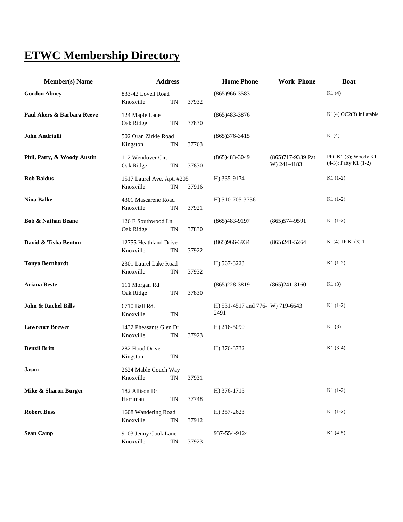# **ETWC Membership Directory**

| <b>Member(s)</b> Name         | <b>Address</b>                          |           |       | <b>Home Phone</b>                        | <b>Work Phone</b>                | <b>Boat</b>                                         |
|-------------------------------|-----------------------------------------|-----------|-------|------------------------------------------|----------------------------------|-----------------------------------------------------|
| <b>Gordon Abney</b>           | 833-42 Lovell Road<br>Knoxville         | TN        | 37932 | $(865)966 - 3583$                        |                                  | K1(4)                                               |
| Paul Akers & Barbara Reeve    | 124 Maple Lane<br>Oak Ridge             | <b>TN</b> | 37830 | $(865)483-3876$                          |                                  | K1(4)OC2(3) Inflatable                              |
| John Andriulli                | 502 Oran Zirkle Road<br>Kingston        | <b>TN</b> | 37763 | $(865)376-3415$                          |                                  | K1(4)                                               |
| Phil, Patty, & Woody Austin   | 112 Wendover Cir.<br>Oak Ridge          | TN        | 37830 | $(865)483-3049$                          | (865)717-9339 Pat<br>W) 241-4183 | Phil K1 (3); Woody K1<br>$(4-5)$ ; Patty K1 $(1-2)$ |
| <b>Rob Baldus</b>             | 1517 Laurel Ave. Apt. #205<br>Knoxville | TN        | 37916 | H) 335-9174                              |                                  | $K1(1-2)$                                           |
| <b>Nina Balke</b>             | 4301 Mascarene Road<br>Knoxville        | <b>TN</b> | 37921 | H) 510-705-3736                          |                                  | $K1(1-2)$                                           |
| <b>Bob &amp; Nathan Beane</b> | 126 E Southwood Ln<br>Oak Ridge         | TN        | 37830 | $(865)483-9197$                          | $(865)574-9591$                  | $K1(1-2)$                                           |
| David & Tisha Benton          | 12755 Heathland Drive<br>Knoxville      | TN        | 37922 | $(865)966-3934$                          | $(865)241 - 5264$                | $K1(4)-D$ ; $K1(3)-T$                               |
| <b>Tonya Bernhardt</b>        | 2301 Laurel Lake Road<br>Knoxville      | <b>TN</b> | 37932 | H) 567-3223                              |                                  | $K1(1-2)$                                           |
| <b>Ariana Beste</b>           | 111 Morgan Rd<br>Oak Ridge              | TN        | 37830 | $(865)228-3819$                          | $(865)241-3160$                  | K1(3)                                               |
| John & Rachel Bills           | 6710 Ball Rd.<br>Knoxville              | <b>TN</b> |       | H) 531-4517 and 776- W) 719-6643<br>2491 |                                  | $K1(1-2)$                                           |
| <b>Lawrence Brewer</b>        | 1432 Pheasants Glen Dr.<br>Knoxville    | TN        | 37923 | H) 216-5090                              |                                  | K1(3)                                               |
| <b>Denzil Britt</b>           | 282 Hood Drive<br>Kingston              | <b>TN</b> |       | H) 376-3732                              |                                  | $K1(3-4)$                                           |
| <b>Jason</b>                  | 2624 Mable Couch Way<br>Knoxville       | TN        | 37931 |                                          |                                  |                                                     |
| Mike & Sharon Burger          | 182 Allison Dr.<br>Harriman             | TN        | 37748 | H) 376-1715                              |                                  | $K1(1-2)$                                           |
| <b>Robert Buss</b>            | 1608 Wandering Road<br>Knoxville        | TN        | 37912 | H) 357-2623                              |                                  | $K1(1-2)$                                           |
| <b>Sean Camp</b>              | 9103 Jenny Cook Lane<br>Knoxville       | TN        | 37923 | 937-554-9124                             |                                  | $K1(4-5)$                                           |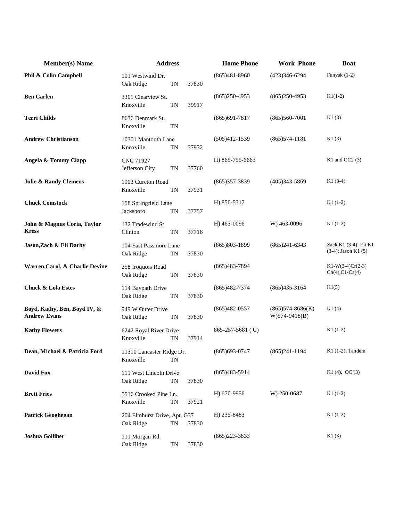| <b>Member(s)</b> Name                               | <b>Address</b>                            |           |       | <b>Home Phone</b>      | <b>Work Phone</b>                        | <b>Boat</b>                                       |
|-----------------------------------------------------|-------------------------------------------|-----------|-------|------------------------|------------------------------------------|---------------------------------------------------|
| Phil & Colin Campbell                               | 101 Westwind Dr.<br>Oak Ridge             | TN        | 37830 | $(865)481 - 8960$      | (423)346-6294                            | Funyak $(1-2)$                                    |
| <b>Ben Carlen</b>                                   | 3301 Clearview St.<br>Knoxville           | TN        | 39917 | $(865)250-4953$        | $(865)250-4953$                          | $K1(1-2)$                                         |
| <b>Terri Childs</b>                                 | 8636 Denmark St.<br>Knoxville             | <b>TN</b> |       | $(865)691-7817$        | $(865)560-7001$                          | K1(3)                                             |
| <b>Andrew Christianson</b>                          | 10301 Mantooth Lane<br>Knoxville          | <b>TN</b> | 37932 | $(505)412 - 1539$      | $(865)574-1181$                          | K1(3)                                             |
| Angela & Tommy Clapp                                | CNC 71927<br>Jefferson City               | <b>TN</b> | 37760 | H) 865-755-6663        |                                          | K1 and OC2 $(3)$                                  |
| <b>Julie &amp; Randy Clemens</b>                    | 1903 Cureton Road<br>Knoxville            | TN        | 37931 | $(865)357-3839$        | $(405)343 - 5869$                        | $K1(3-4)$                                         |
| <b>Chuck Comstock</b>                               | 158 Springfield Lane<br>Jacksboro         | TN        | 37757 | H) 850-5317            |                                          | $K1(1-2)$                                         |
| John & Magnus Coria, Taylor<br><b>Kress</b>         | 132 Tradewind St.<br>Clinton              | TN        | 37716 | H) 463-0096            | W) 463-0096                              | $K1(1-2)$                                         |
| Jason, Zach & Eli Darby                             | 104 East Passmore Lane<br>Oak Ridge       | TN        | 37830 | $(865)803 - 1899$      | $(865)241-6343$                          | Zack K1 (3-4); Eli K1<br>$(3-4)$ ; Jason K1 $(5)$ |
| Warren, Carol, & Charlie Devine                     | 258 Iroquois Road<br>Oak Ridge            | <b>TN</b> | 37830 | $(865)483-7894$        |                                          | $K1-W(3-4)Cr(2-3)$<br>$Ch(4)$ , $Cl$ - $Ca(4)$    |
| <b>Chuck &amp; Lola Estes</b>                       | 114 Baypath Drive<br>Oak Ridge            | TN        | 37830 | $(865)482-7374$        | $(865)435-3164$                          | K1(5)                                             |
| Boyd, Kathy, Ben, Boyd IV, &<br><b>Andrew Evans</b> | 949 W Outer Drive<br>Oak Ridge            | <b>TN</b> | 37830 | $(865)482-0557$        | $(865)574 - 8686(K)$<br>$W)$ 574-9418(B) | K1(4)                                             |
| <b>Kathy Flowers</b>                                | 6242 Royal River Drive<br>Knoxville       | TN        | 37914 | $865 - 257 - 5681$ (C) |                                          | $K1(1-2)$                                         |
| Dean, Michael & Patricia Ford                       | 11310 Lancaster Ridge Dr.<br>Knoxville    | <b>TN</b> |       | $(865)693-0747$        | $(865)241-1194$                          | $K1$ (1-2); Tandem                                |
| <b>David Fox</b>                                    | 111 West Lincoln Drive<br>Oak Ridge       | TN        | 37830 | $(865)483-5914$        |                                          | $K1(4)$ , OC $(3)$                                |
| <b>Brett Fries</b>                                  | 5516 Crooked Pine Ln.<br>Knoxville        | TN        | 37921 | H) 670-9956            | W) 250-0687                              | $K1(1-2)$                                         |
| <b>Patrick Geoghegan</b>                            | 204 Elmhurst Drive, Apt. G37<br>Oak Ridge | TN        | 37830 | H) 235-8483            |                                          | $K1(1-2)$                                         |
| <b>Joshua Golliher</b>                              | 111 Morgan Rd.<br>Oak Ridge               | TN        | 37830 | $(865)223 - 3833$      |                                          | K1(3)                                             |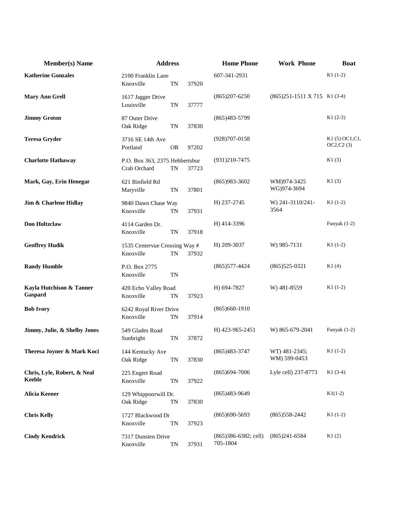| <b>Member(s)</b> Name                 | <b>Address</b>                                 |           | <b>Home Phone</b> | <b>Work Phone</b>                   | <b>Boat</b>                                     |                                |
|---------------------------------------|------------------------------------------------|-----------|-------------------|-------------------------------------|-------------------------------------------------|--------------------------------|
| <b>Katherine Gonzales</b>             | 2100 Franklin Lane<br>Knoxville                | TN        | 37920             | 607-341-2931                        |                                                 | $K1(1-2)$                      |
| <b>Mary Ann Grell</b>                 | 1617 Jagger Drive<br>Louisville                | <b>TN</b> | 37777             | $(865)207 - 6250$                   | $(865)251-1511 \text{ X } 715 \text{ K}1 (3-4)$ |                                |
| <b>Jimmy Groton</b>                   | 87 Outer Drive<br>Oak Ridge                    | <b>TN</b> | 37830             | $(865)483-5799$                     |                                                 | $K1(2-3)$                      |
| <b>Teresa Gryder</b>                  | 3716 SE 14th Ave<br>Portland                   | <b>OR</b> | 97202             | $(928)707 - 0158$                   |                                                 | K1 (5) OC1, C1,<br>OC2, C2 (3) |
| <b>Charlotte Hathaway</b>             | P.O. Box 363, 2375 Hebbertsbur<br>Crab Orchard | <b>TN</b> | 37723             | $(931)210-7475$                     |                                                 | K1(3)                          |
| Mark, Gay, Erin Henegar               | 621 Binfield Rd<br>Maryville                   | <b>TN</b> | 37801             | $(865)983-3602$                     | WM)974-3425<br>WG)974-3694                      | K1(3)                          |
| Jim & Charlene Hidlay                 | 9840 Dawn Chase Way<br>Knoxville               | <b>TN</b> | 37931             | H) 237-2745                         | W) 241-3110/241-<br>3564                        | $K1(1-2)$                      |
| <b>Don Holtzclaw</b>                  | 4114 Garden Dr.<br>Knoxville                   | <b>TN</b> | 37918             | H) 414-3396                         |                                                 | Funyak $(1-2)$                 |
| <b>Geoffrey Hudik</b>                 | 1535 Centervue Crossing Way #<br>Knoxville     | <b>TN</b> | 37932             | H) 209-3037                         | W) 985-7131                                     | $K1(1-2)$                      |
| <b>Randy Humble</b>                   | P.O. Box 2775<br>Knoxville                     | TN        |                   | $(865)$ 577-4424                    | $(865)525-0321$                                 | K1(4)                          |
| Kayla Hutchison & Tanner<br>Gaspard   | 420 Echo Valley Road<br>Knoxville              | TN        | 37923             | H) 694-7827                         | W) 481-8559                                     | $K1(1-2)$                      |
| <b>Bob Ivory</b>                      | 6242 Royal River Drive<br>Knoxville            | TN        | 37914             | $(865)660-1910$                     |                                                 |                                |
| Jimmy, Julie, & Shelby Jones          | 549 Glades Road<br>Sunbright                   | <b>TN</b> | 37872             | H) 423-965-2451                     | W) 865-679-2041                                 | Funyak $(1-2)$                 |
| Theresa Joyner & Mark Koci            | 144 Kentucky Ave<br>Oak Ridge                  | TN        | 37830             | $(865)483-3747$                     | WT) 481-2345;<br>WM) 599-0453                   | $K1(1-2)$                      |
| Chris, Lyle, Robert, & Neal<br>Keeble | 225 Engert Road<br>Knoxville                   | <b>TN</b> | 37922             | $(865)694-7006$                     | Lyle cell) 237-8773                             | $K1(3-4)$                      |
| <b>Alicia Keener</b>                  | 129 Whippoorwill Dr.<br>Oak Ridge              | TN        | 37830             | $(865)483-9649$                     |                                                 | $K1(1-2)$                      |
| <b>Chris Kelly</b>                    | 1727 Blackwood Dr<br>Knoxville                 | <b>TN</b> | 37923             | $(865)690 - 5693$                   | $(865)$ 558-2442                                | $K1(1-2)$                      |
| <b>Cindy Kendrick</b>                 | 7317 Dunsten Drive<br>Knoxville                | TN        | 37931             | $(865)386-6382$ ; cell)<br>705-1804 | $(865)241-6584$                                 | K1(2)                          |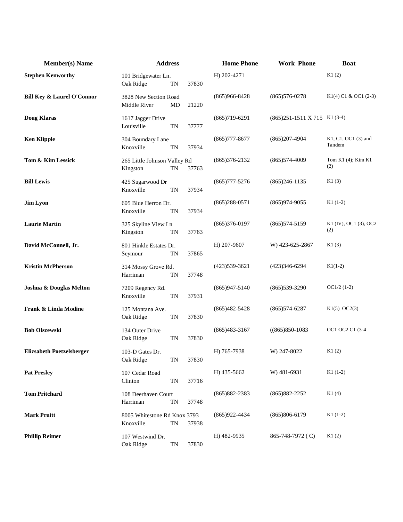| <b>Member(s)</b> Name                 | <b>Address</b>                            |           |       | <b>Home Phone</b> | <b>Work Phone</b>              | <b>Boat</b>                   |
|---------------------------------------|-------------------------------------------|-----------|-------|-------------------|--------------------------------|-------------------------------|
| <b>Stephen Kenworthy</b>              | 101 Bridgewater Ln.<br>Oak Ridge          | TN        | 37830 | H) 202-4271       |                                | K1(2)                         |
| <b>Bill Key &amp; Laurel O'Connor</b> | 3828 New Section Road<br>Middle River     | MD        | 21220 | $(865)966 - 8428$ | $(865)576 - 0278$              | K1(4) C1 & OC1 (2-3)          |
| <b>Doug Klaras</b>                    | 1617 Jagger Drive<br>Louisville           | <b>TN</b> | 37777 | $(865)719-6291$   | $(865)251-1511$ X 715 K1 (3-4) |                               |
| <b>Ken Klipple</b>                    | 304 Boundary Lane<br>Knoxville            | <b>TN</b> | 37934 | $(865)777 - 8677$ | $(865)207-4904$                | K1, C1, OC1 (3) and<br>Tandem |
| Tom & Kim Lessick                     | 265 Little Johnson Valley Rd<br>Kingston  | <b>TN</b> | 37763 | $(865)376-2132$   | $(865)574-4009$                | Tom K1 (4); Kim K1<br>(2)     |
| <b>Bill Lewis</b>                     | 425 Sugarwood Dr<br>Knoxville             | <b>TN</b> | 37934 | $(865)777 - 5276$ | $(865)246-1135$                | K1(3)                         |
| <b>Jim Lyon</b>                       | 605 Blue Herron Dr.<br>Knoxville          | <b>TN</b> | 37934 | $(865)288-0571$   | $(865)974-9055$                | $K1(1-2)$                     |
| <b>Laurie Martin</b>                  | 325 Skyline View Ln<br>Kingston           | TN        | 37763 | $(865)376-0197$   | $(865)574-5159$                | K1 (IV), OC1 (3), OC2<br>(2)  |
| David McConnell, Jr.                  | 801 Hinkle Estates Dr.<br>Seymour         | TN        | 37865 | H) 207-9607       | W) 423-625-2867                | K1(3)                         |
| <b>Kristin McPherson</b>              | 314 Mossy Grove Rd.<br>Harriman           | <b>TN</b> | 37748 | $(423)539-3621$   | $(423)346-6294$                | $K1(1-2)$                     |
| Joshua & Douglas Melton               | 7209 Regency Rd.<br>Knoxville             | TN        | 37931 | $(865)947 - 5140$ | $(865)539-3290$                | $OC1/2$ (1-2)                 |
| Frank & Linda Modine                  | 125 Montana Ave.<br>Oak Ridge             | <b>TN</b> | 37830 | $(865)482 - 5428$ | $(865)574-6287$                | $K1(5)$ OC2(3)                |
| <b>Bob Olszewski</b>                  | 134 Outer Drive<br>Oak Ridge              | <b>TN</b> | 37830 | $(865)483-3167$   | $((865)850-1083)$              | OC1 OC2 C1 (3-4               |
| <b>Elizsabeth Poetzelsberger</b>      | 103-D Gates Dr.<br>Oak Ridge              | TN        | 37830 | H) 765-7938       | W) 247-8022                    | K1(2)                         |
| <b>Pat Presley</b>                    | 107 Cedar Road<br>Clinton                 | <b>TN</b> | 37716 | H) 435-5662       | W) 481-6931                    | $K1(1-2)$                     |
| <b>Tom Pritchard</b>                  | 108 Deerhaven Court<br>Harriman           | <b>TN</b> | 37748 | $(865)882 - 2383$ | $(865)882 - 2252$              | K1(4)                         |
| <b>Mark Pruitt</b>                    | 8005 Whitestone Rd Knox 3793<br>Knoxville | TN        | 37938 | $(865)922 - 4434$ | $(865)806-6179$                | $K1(1-2)$                     |
| <b>Phillip Reimer</b>                 | 107 Westwind Dr.<br>Oak Ridge             | TN        | 37830 | H) 482-9935       | 865-748-7972 (C)               | K1(2)                         |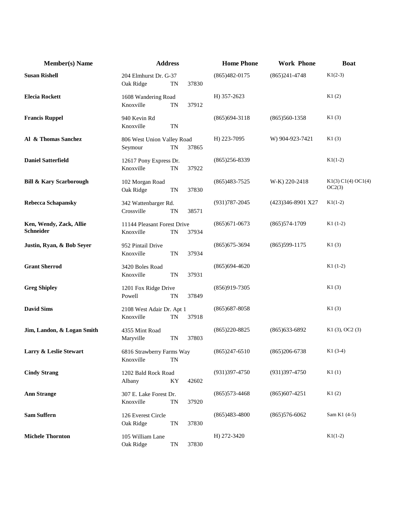| <b>Member(s)</b> Name                | <b>Address</b>                                        |       | <b>Home Phone</b> | <b>Work Phone</b> | <b>Boat</b>                  |
|--------------------------------------|-------------------------------------------------------|-------|-------------------|-------------------|------------------------------|
| <b>Susan Rishell</b>                 | 204 Elmhurst Dr. G-37<br>Oak Ridge<br><b>TN</b>       | 37830 | $(865)482-0175$   | $(865)241 - 4748$ | $K1(2-3)$                    |
| <b>Elecia Rockett</b>                | 1608 Wandering Road<br>Knoxville<br><b>TN</b>         | 37912 | H) 357-2623       |                   | K1(2)                        |
| <b>Francis Ruppel</b>                | 940 Kevin Rd<br>Knoxville<br><b>TN</b>                |       | $(865)694-3118$   | $(865)560-1358$   | K1(3)                        |
| Al & Thomas Sanchez                  | 806 West Union Valley Road<br>Seymour<br>TN           | 37865 | H) 223-7095       | W) 904-923-7421   | K1(3)                        |
| <b>Daniel Satterfield</b>            | 12617 Pony Express Dr.<br>Knoxville<br><b>TN</b>      | 37922 | $(865)256 - 8339$ |                   | $K1(1-2)$                    |
| <b>Bill &amp; Kary Scarborough</b>   | 102 Morgan Road<br>Oak Ridge<br>TN                    | 37830 | $(865)483 - 7525$ | W-K) 220-2418     | K1(3) C1(4) OCl(4)<br>OC2(3) |
| <b>Rebecca Schapansky</b>            | 342 Wattenbarger Rd.<br>Crossville<br><b>TN</b>       | 38571 | $(931)787 - 2045$ | (423)346-8901 X27 | $K1(1-2)$                    |
| Ken, Wendy, Zack, Allie<br>Schneider | 11144 Pleasant Forest Drive<br>Knoxville<br><b>TN</b> | 37934 | $(865)671-0673$   | $(865)574-1709$   | $K1(1-2)$                    |
| Justin, Ryan, & Bob Seyer            | 952 Pintail Drive<br>Knoxville<br><b>TN</b>           | 37934 | $(865)$ 675-3694  | $(865)599-1175$   | K1(3)                        |
| <b>Grant Sherrod</b>                 | 3420 Boles Road<br>Knoxville<br><b>TN</b>             | 37931 | $(865)694-4620$   |                   | $K1(1-2)$                    |
| <b>Greg Shipley</b>                  | 1201 Fox Ridge Drive<br>Powell<br><b>TN</b>           | 37849 | $(856)919-7305$   |                   | K1(3)                        |
| <b>David Sims</b>                    | 2108 West Adair Dr. Apt 1<br>Knoxville<br>TN          | 37918 | $(865)$ 687-8058  |                   | K1(3)                        |
| Jim, Landon, & Logan Smith           | 4355 Mint Road<br>Maryville<br><b>TN</b>              | 37803 | $(865)220 - 8825$ | $(865)633 - 6892$ | $K1(3)$ , OC2 $(3)$          |
| Larry & Leslie Stewart               | 6816 Strawberry Farms Way<br>Knoxville<br><b>TN</b>   |       | $(865)247-6510$   | $(865)206-6738$   | $K1(3-4)$                    |
| <b>Cindy Strang</b>                  | 1202 Bald Rock Road<br>ΚY<br>Albany                   | 42602 | $(931)397-4750$   | $(931)397 - 4750$ | K1(1)                        |
| <b>Ann Strange</b>                   | 307 E. Lake Forest Dr.<br>Knoxville<br><b>TN</b>      | 37920 | $(865)573-4468$   | $(865)607 - 4251$ | K1(2)                        |
| <b>Sam Suffern</b>                   | 126 Everest Circle<br>Oak Ridge<br>TN                 | 37830 | $(865)483-4800$   | $(865)576-6062$   | Sam K1 (4-5)                 |
| <b>Michele Thornton</b>              | 105 William Lane<br>Oak Ridge<br>TN                   | 37830 | H) 272-3420       |                   | $K1(1-2)$                    |